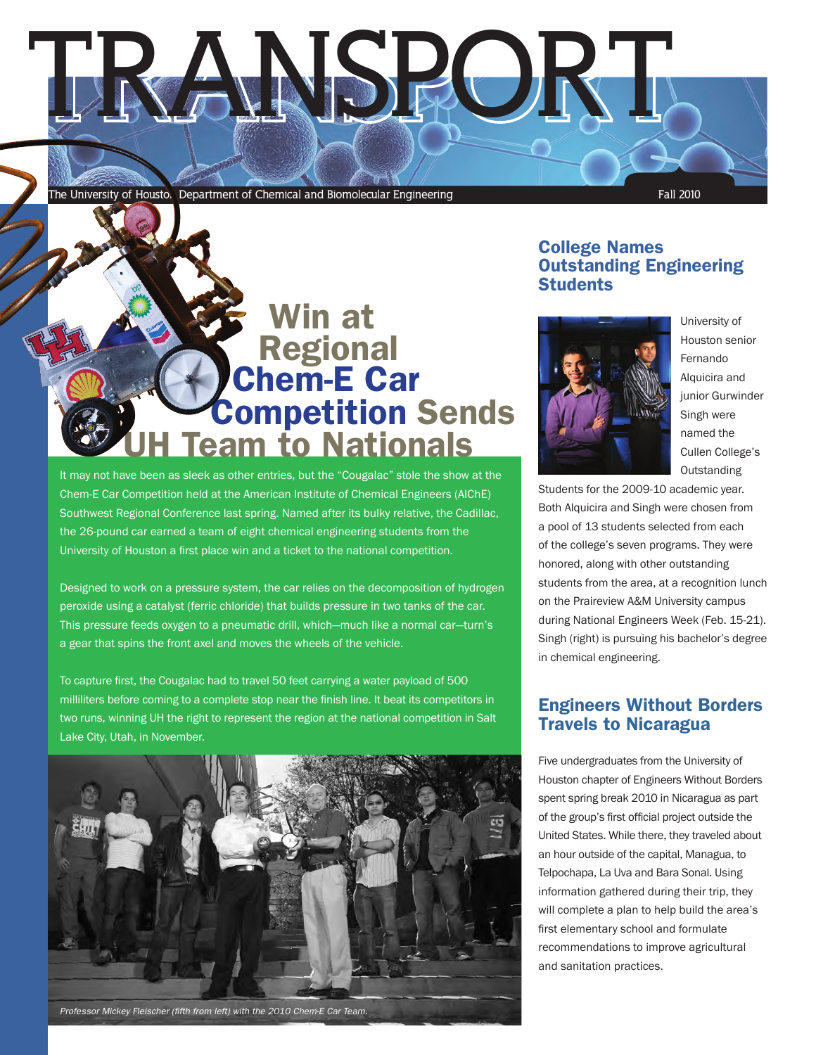

# **E** Win at<br>
Regional<br>
Chem-E Car<br>Competition Sends **Team to Nationals**

It may not have been as sleek as other entries, but the "Cougalac" stole the show at the Chem-E Car Competition held at the American Institute of Chemical Engineers (AIChE) Southwest Regional Conference last spring. Named after its bulky relative, the Cadillac, the 26-pound car earned a team of eight chemical engineering students from the University of Houston a first place win and a ticket to the national competition.

Designed to work on a pressure system, the car relies on the decomposition of hydrogen peroxide using a catalyst (ferric chloride) that builds pressure in two tanks of the car. This pressure feeds oxygen to a pneumatic drill, which—much like a normal car—turn's a gear that spins the front axel and moves the wheels of the vehicle.

To capture first, the Cougalac had to travel 50 feet carrying a water payload of 500 milliliters before coming to a complete stop near the finish line. It beat its competitors in two runs, winning UH the right to represent the region at the national competition in Salt Lake City, Utah, in November.



## College Names Outstanding Engineering **Students**



University of Houston senior Fernando Alquicira and junior Gurwinder Singh were named the Cullen College's **Outstanding** 

Students for the 2009-10 academic year. Both Alquicira and Singh were chosen from a pool of 13 students selected from each of the college's seven programs. They were honored, along with other outstanding students from the area, at a recognition lunch on the Praireview A&M University campus during National Engineers Week (Feb. 15-21). Singh (right) is pursuing his bachelor's degree in chemical engineering.

# Engineers Without Borders Travels to Nicaragua

Five undergraduates from the University of Houston chapter of Engineers Without Borders spent spring break 2010 in Nicaragua as part of the group's first official project outside the United States. While there, they traveled about an hour outside of the capital, Managua, to Telpochapa, La Uva and Bara Sonal. Using information gathered during their trip, they will complete a plan to help build the area's first elementary school and formulate recommendations to improve agricultural and sanitation practices.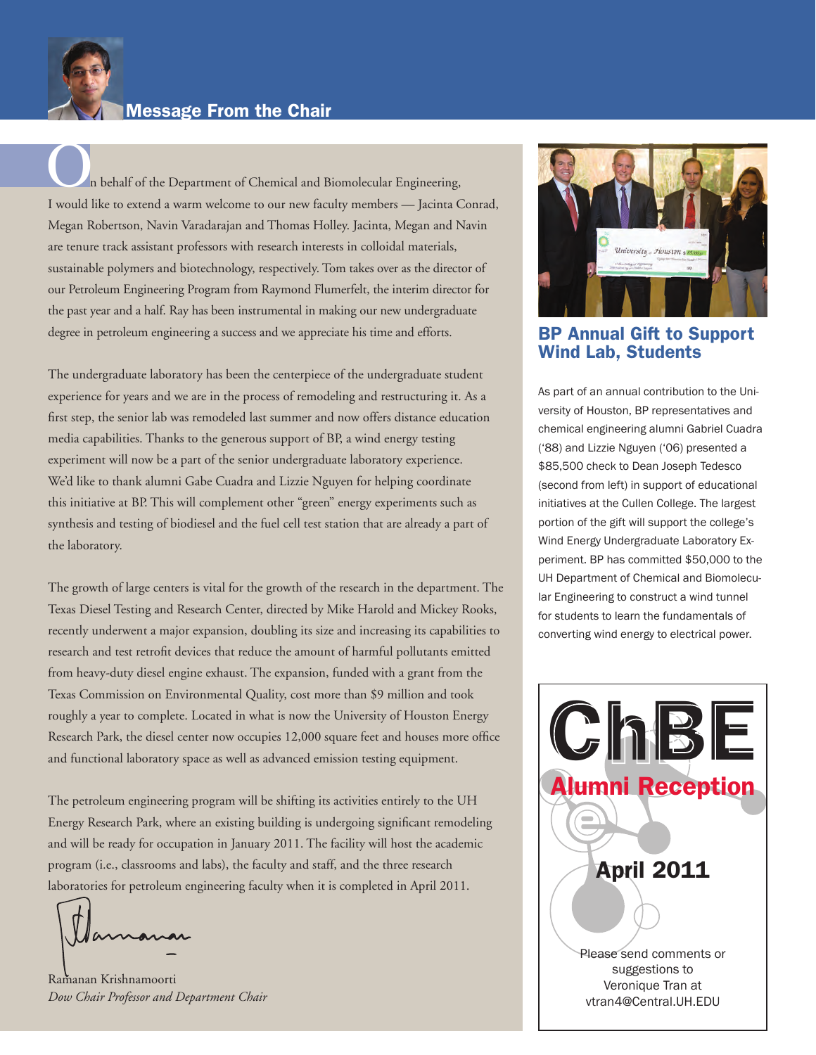

O n behalf of the Department of Chemical and Biomolecular Engineering, I would like to extend a warm welcome to our new faculty members — Jacinta Conrad, Megan Robertson, Navin Varadarajan and Thomas Holley. Jacinta, Megan and Navin are tenure track assistant professors with research interests in colloidal materials, sustainable polymers and biotechnology, respectively. Tom takes over as the director of our Petroleum Engineering Program from Raymond Flumerfelt, the interim director for the past year and a half. Ray has been instrumental in making our new undergraduate degree in petroleum engineering a success and we appreciate his time and efforts.

The undergraduate laboratory has been the centerpiece of the undergraduate student experience for years and we are in the process of remodeling and restructuring it. As a first step, the senior lab was remodeled last summer and now offers distance education media capabilities. Thanks to the generous support of BP, a wind energy testing experiment will now be a part of the senior undergraduate laboratory experience. We'd like to thank alumni Gabe Cuadra and Lizzie Nguyen for helping coordinate this initiative at BP. This will complement other "green" energy experiments such as synthesis and testing of biodiesel and the fuel cell test station that are already a part of the laboratory.

The growth of large centers is vital for the growth of the research in the department. The Texas Diesel Testing and Research Center, directed by Mike Harold and Mickey Rooks, recently underwent a major expansion, doubling its size and increasing its capabilities to research and test retrofit devices that reduce the amount of harmful pollutants emitted from heavy-duty diesel engine exhaust. The expansion, funded with a grant from the Texas Commission on Environmental Quality, cost more than \$9 million and took roughly a year to complete. Located in what is now the University of Houston Energy Research Park, the diesel center now occupies 12,000 square feet and houses more office and functional laboratory space as well as advanced emission testing equipment.

The petroleum engineering program will be shifting its activities entirely to the UH Energy Research Park, where an existing building is undergoing significant remodeling and will be ready for occupation in January 2011. The facility will host the academic program (i.e., classrooms and labs), the faculty and staff, and the three research laboratories for petroleum engineering faculty when it is completed in April 2011.

amanas

Ramanan Krishnamoorti *Dow Chair Professor and Department Chair*



BP Annual Gift to Support Wind Lab, Students

As part of an annual contribution to the University of Houston, BP representatives and chemical engineering alumni Gabriel Cuadra ('88) and Lizzie Nguyen ('06) presented a \$85,500 check to Dean Joseph Tedesco (second from left) in support of educational initiatives at the Cullen College. The largest portion of the gift will support the college's Wind Energy Undergraduate Laboratory Experiment. BP has committed \$50,000 to the UH Department of Chemical and Biomolecular Engineering to construct a wind tunnel for students to learn the fundamentals of converting wind energy to electrical power.

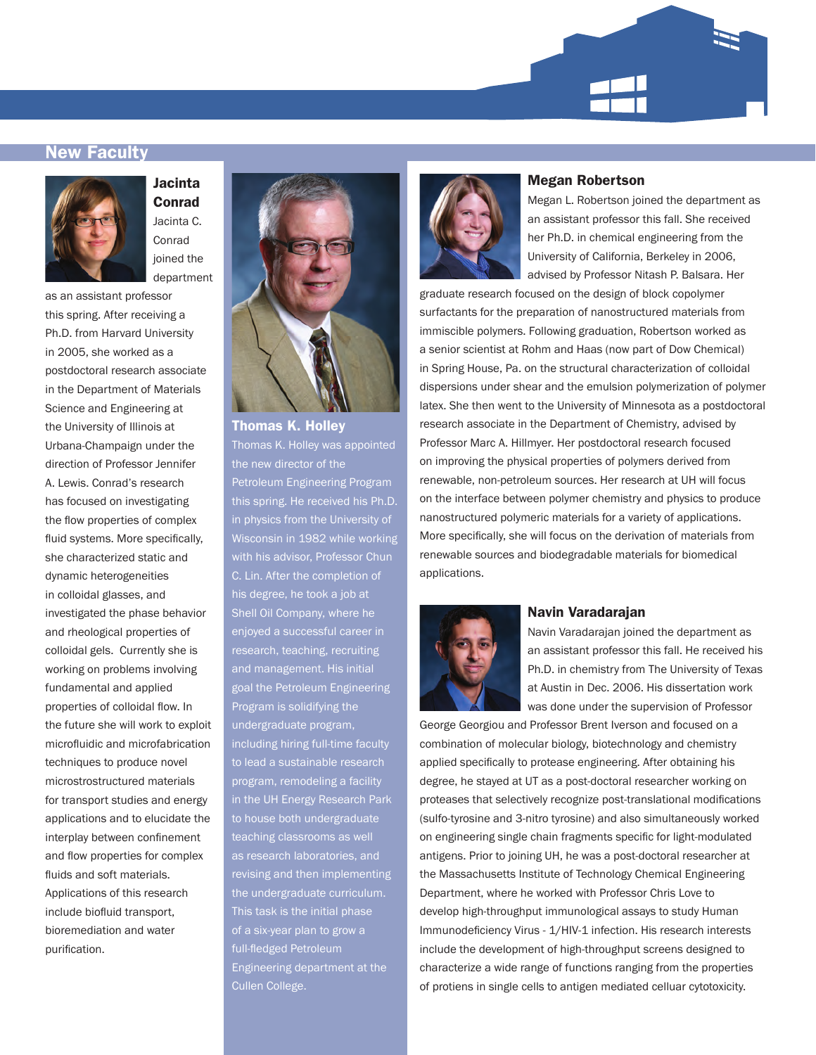

### New Faculty



Jacinta Conrad Jacinta C. Conrad joined the department

as an assistant professor this spring. After receiving a Ph.D. from Harvard University in 2005, she worked as a postdoctoral research associate in the Department of Materials Science and Engineering at the University of Illinois at Urbana-Champaign under the direction of Professor Jennifer A. Lewis. Conrad's research has focused on investigating the flow properties of complex fluid systems. More specifically, she characterized static and dynamic heterogeneities in colloidal glasses, and investigated the phase behavior and rheological properties of colloidal gels. Currently she is working on problems involving fundamental and applied properties of colloidal flow. In the future she will work to exploit microfluidic and microfabrication techniques to produce novel microstrostructured materials for transport studies and energy applications and to elucidate the interplay between confinement and flow properties for complex fluids and soft materials. Applications of this research include biofluid transport, bioremediation and water purification.



Thomas K. Holley Thomas K. Holley was appointed the new director of the Petroleum Engineering Program this spring. He received his Ph.D. in physics from the University of Wisconsin in 1982 while working C. Lin. After the completion of his degree, he took a job at Shell Oil Company, where he enjoyed a successful career in research, teaching, recruiting and management. His initial goal the Petroleum Engineering Program is solidifying the undergraduate program, including hiring full-time faculty to lead a sustainable research program, remodeling a facility in the UH Energy Research Park to house both undergraduate teaching classrooms as well as research laboratories, and revising and then implementing the undergraduate curriculum. This task is the initial phase of a six-year plan to grow a full-fledged Petroleum Engineering department at the Cullen College.



### Megan Robertson

Megan L. Robertson joined the department as an assistant professor this fall. She received her Ph.D. in chemical engineering from the University of California, Berkeley in 2006, advised by Professor Nitash P. Balsara. Her

graduate research focused on the design of block copolymer surfactants for the preparation of nanostructured materials from immiscible polymers. Following graduation, Robertson worked as a senior scientist at Rohm and Haas (now part of Dow Chemical) in Spring House, Pa. on the structural characterization of colloidal dispersions under shear and the emulsion polymerization of polymer latex. She then went to the University of Minnesota as a postdoctoral research associate in the Department of Chemistry, advised by Professor Marc A. Hillmyer. Her postdoctoral research focused on improving the physical properties of polymers derived from renewable, non-petroleum sources. Her research at UH will focus on the interface between polymer chemistry and physics to produce nanostructured polymeric materials for a variety of applications. More specifically, she will focus on the derivation of materials from renewable sources and biodegradable materials for biomedical applications.



### Navin Varadarajan

Navin Varadarajan joined the department as an assistant professor this fall. He received his Ph.D. in chemistry from The University of Texas at Austin in Dec. 2006. His dissertation work was done under the supervision of Professor

George Georgiou and Professor Brent Iverson and focused on a combination of molecular biology, biotechnology and chemistry applied specifically to protease engineering. After obtaining his degree, he stayed at UT as a post-doctoral researcher working on proteases that selectively recognize post-translational modifications (sulfo-tyrosine and 3-nitro tyrosine) and also simultaneously worked on engineering single chain fragments specific for light-modulated antigens. Prior to joining UH, he was a post-doctoral researcher at the Massachusetts Institute of Technology Chemical Engineering Department, where he worked with Professor Chris Love to develop high-throughput immunological assays to study Human Immunodeficiency Virus - 1/HIV-1 infection. His research interests include the development of high-throughput screens designed to characterize a wide range of functions ranging from the properties of protiens in single cells to antigen mediated celluar cytotoxicity.